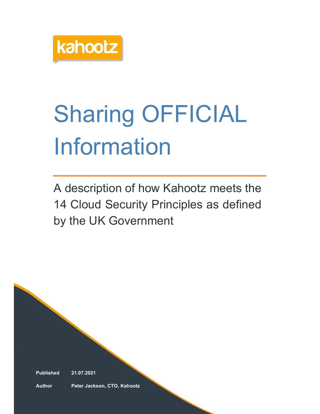

# Sharing OFFICIAL Information

A description of how Kahootz meets the 14 Cloud Security Principles as defined by the UK Government

Published 21.07.2021

Author Peter Jackson, CTO, Kahootz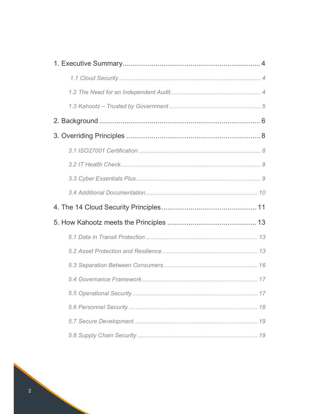|  | 17 |  |  |  |
|--|----|--|--|--|
|  |    |  |  |  |
|  |    |  |  |  |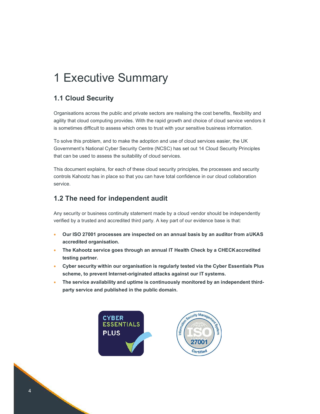# 1 Executive Summary

# 1.1 Cloud Security

Organisations across the public and private sectors are realising the cost benefits, flexibility and agility that cloud computing provides. With the rapid growth and choice of cloud service vendors it is sometimes difficult to assess which ones to trust with your sensitive business information.

To solve this problem, and to make the adoption and use of cloud services easier, the UK Government's National Cyber Security Centre (NCSC) has set out 14 Cloud Security Principles that can be used to assess the suitability of cloud services.

This document explains, for each of these cloud security principles, the processes and security controls Kahootz has in place so that you can have total confidence in our cloud collaboration service.

# 1.2 The need for independent audit

Any security or business continuity statement made by a cloud vendor should be independently verified by a trusted and accredited third party. A key part of our evidence base is that:

- Our ISO 27001 processes are inspected on an annual basis by an auditor from a UKAS accredited organisation.
- The Kahootz service goes through an annual IT Health Check by a CHECK accredited testing partner.
- Cyber security within our organisation is regularly tested via the Cyber Essentials Plus scheme, to prevent Internet-originated attacks against our IT systems.
- The service availability and uptime is continuously monitored by an independent thirdparty service and published in the public domain.



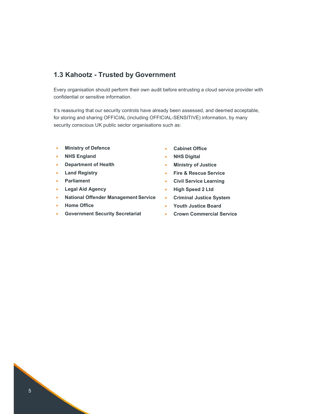# 1.3 Kahootz - Trusted by Government

Every organisation should perform their own audit before entrusting a cloud service provider with confidential or sensitive information.

It's reassuring that our security controls have already been assessed, and deemed acceptable, for storing and sharing OFFICIAL (including OFFICIAL-SENSITIVE) information, by many security conscious UK public sector organisations such as:

- **•** Ministry of Defence
- NHS England
- Department of Health
- **•** Land Registry
- Parliament
- Legal Aid Agency
- National Offender Management Service
- **•** Home Office
- Government Security Secretariat
- Cabinet Office
- NHS Digital
- **•** Ministry of Justice
- **•** Fire & Rescue Service
- Civil Service Learning
- High Speed 2 Ltd
- Criminal Justice System
- Youth Justice Board
- Crown Commercial Service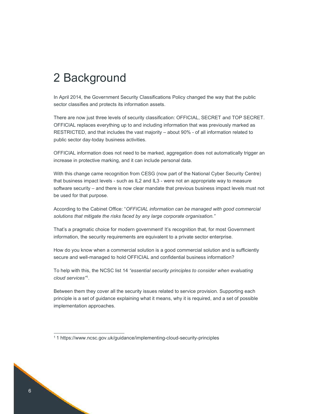# 2 Background

In April 2014, the Government Security Classifications Policy changed the way that the public sector classifies and protects its information assets.

There are now just three levels of security classification: OFFICIAL, SECRET and TOP SECRET. OFFICIAL replaces everything up to and including information that was previously marked as RESTRICTED, and that includes the vast majority – about 90% - of all information related to public sector day-today business activities.

OFFICIAL information does not need to be marked, aggregation does not automatically trigger an increase in protective marking, and it can include personal data.

With this change came recognition from CESG (now part of the National Cyber Security Centre) that business impact levels - such as IL2 and IL3 - were not an appropriate way to measure software security – and there is now clear mandate that previous business impact levels must not be used for that purpose.

According to the Cabinet Office: "OFFICIAL information can be managed with good commercial solutions that mitigate the risks faced by any large corporate organisation."

That's a pragmatic choice for modern government! It's recognition that, for most Government information, the security requirements are equivalent to a private sector enterprise.

How do you know when a commercial solution is a good commercial solution and is sufficiently secure and well-managed to hold OFFICIAL and confidential business information?

To help with this, the NCSC list 14 "essential security principles to consider when evaluating cloud services"<sup>1</sup> .

Between them they cover all the security issues related to service provision. Supporting each principle is a set of guidance explaining what it means, why it is required, and a set of possible implementation approaches.

<sup>1</sup> 1 https://www.ncsc.gov.uk/guidance/implementing-cloud-security-principles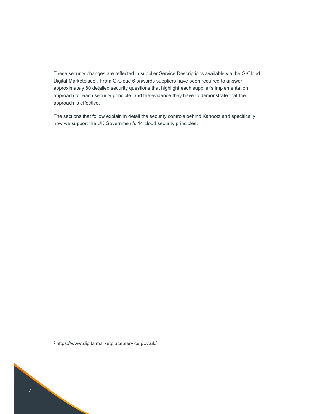These security changes are reflected in supplier Service Descriptions available via the G-Cloud Digital Marketplace<sup>2</sup>. From G-Cloud 6 onwards suppliers have been required to answer approximately 80 detailed security questions that highlight each supplier's implementation approach for each security principle, and the evidence they have to demonstrate that the approach is effective.

The sections that follow explain in detail the security controls behind Kahootz and specifically how we support the UK Government's 14 cloud security principles.

<sup>2</sup> https://www.digitalmarketplace.service.gov.uk/

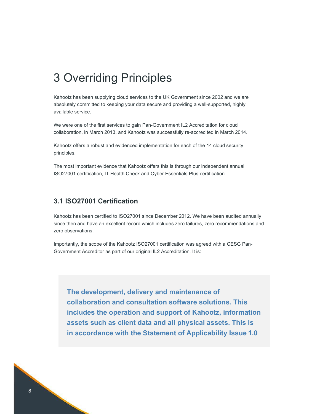# 3 Overriding Principles

Kahootz has been supplying cloud services to the UK Government since 2002 and we are absolutely committed to keeping your data secure and providing a well-supported, highly available service.

We were one of the first services to gain Pan-Government IL2 Accreditation for cloud collaboration, in March 2013, and Kahootz was successfully re-accredited in March 2014.

Kahootz offers a robust and evidenced implementation for each of the 14 cloud security principles.

The most important evidence that Kahootz offers this is through our independent annual ISO27001 certification, IT Health Check and Cyber Essentials Plus certification.

# 3.1 ISO27001 Certification

Kahootz has been certified to ISO27001 since December 2012. We have been audited annually since then and have an excellent record which includes zero failures, zero recommendations and zero observations.

Importantly, the scope of the Kahootz ISO27001 certification was agreed with a CESG Pan-Government Accreditor as part of our original IL2 Accreditation. It is:

The development, delivery and maintenance of collaboration and consultation software solutions. This includes the operation and support of Kahootz, information assets such as client data and all physical assets. This is in accordance with the Statement of Applicability Issue 1.0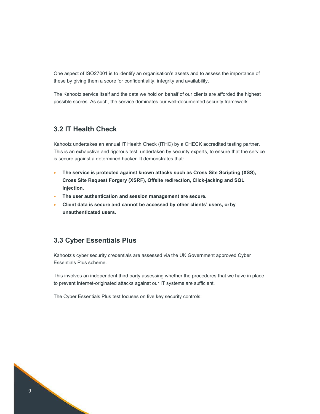One aspect of ISO27001 is to identify an organisation's assets and to assess the importance of these by giving them a score for confidentiality, integrity and availability.

The Kahootz service itself and the data we hold on behalf of our clients are afforded the highest possible scores. As such, the service dominates our well-documented security framework.

# 3.2 IT Health Check

Kahootz undertakes an annual IT Health Check (ITHC) by a CHECK accredited testing partner. This is an exhaustive and rigorous test, undertaken by security experts, to ensure that the service is secure against a determined hacker. It demonstrates that:

- The service is protected against known attacks such as Cross Site Scripting (XSS), Cross Site Request Forgery (XSRF), Offsite redirection, Click-jacking and SQL Injection.
- The user authentication and session management are secure.
- Client data is secure and cannot be accessed by other clients' users, or by unauthenticated users.

# 3.3 Cyber Essentials Plus

Kahootz's cyber security credentials are assessed via the UK Government approved Cyber Essentials Plus scheme.

This involves an independent third party assessing whether the procedures that we have in place to prevent Internet-originated attacks against our IT systems are sufficient.

The Cyber Essentials Plus test focuses on five key security controls: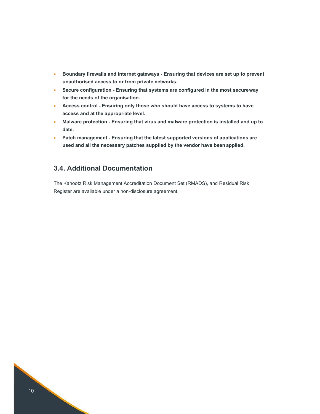- Boundary firewalls and internet gateways Ensuring that devices are set up to prevent unauthorised access to or from private networks.
- Secure configuration Ensuring that systems are configured in the most secure way for the needs of the organisation.
- Access control Ensuring only those who should have access to systems to have access and at the appropriate level.
- Malware protection Ensuring that virus and malware protection is installed and up to date.
- Patch management Ensuring that the latest supported versions of applications are used and all the necessary patches supplied by the vendor have been applied.

# 3.4. Additional Documentation

The Kahootz Risk Management Accreditation Document Set (RMADS), and Residual Risk Register are available under a non-disclosure agreement.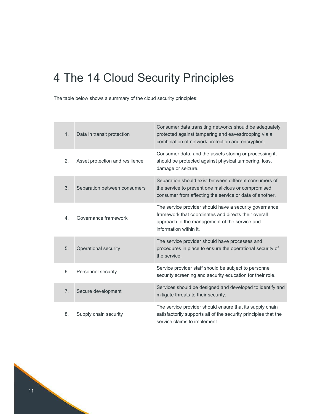# 4 The 14 Cloud Security Principles

The table below shows a summary of the cloud security principles:

| 1.               | Data in transit protection      | Consumer data transiting networks should be adequately<br>protected against tampering and eavesdropping via a<br>combination of network protection and encryption.                        |
|------------------|---------------------------------|-------------------------------------------------------------------------------------------------------------------------------------------------------------------------------------------|
| 2.               | Asset protection and resilience | Consumer data, and the assets storing or processing it,<br>should be protected against physical tampering, loss,<br>damage or seizure.                                                    |
| 3.               | Separation between consumers    | Separation should exist between different consumers of<br>the service to prevent one malicious or compromised<br>consumer from affecting the service or data of another.                  |
| $\overline{4}$ . | Governance framework            | The service provider should have a security governance<br>framework that coordinates and directs their overall<br>approach to the management of the service and<br>information within it. |
| 5.               | Operational security            | The service provider should have processes and<br>procedures in place to ensure the operational security of<br>the service.                                                               |
| 6.               | Personnel security              | Service provider staff should be subject to personnel<br>security screening and security education for their role.                                                                        |
| 7.               | Secure development              | Services should be designed and developed to identify and<br>mitigate threats to their security.                                                                                          |
| 8.               | Supply chain security           | The service provider should ensure that its supply chain<br>satisfactorily supports all of the security principles that the<br>service claims to implement.                               |

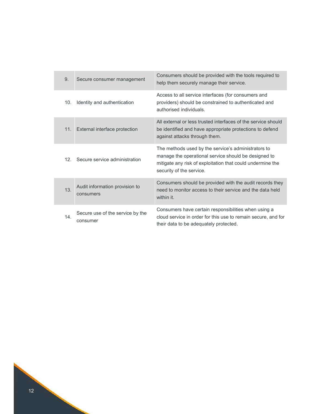| 9.              | Secure consumer management                   | Consumers should be provided with the tools required to<br>help them securely manage their service.                                                                                                   |
|-----------------|----------------------------------------------|-------------------------------------------------------------------------------------------------------------------------------------------------------------------------------------------------------|
| 10.             | Identity and authentication                  | Access to all service interfaces (for consumers and<br>providers) should be constrained to authenticated and<br>authorised individuals.                                                               |
| 11.             | External interface protection                | All external or less trusted interfaces of the service should<br>be identified and have appropriate protections to defend<br>against attacks through them.                                            |
| 12 <sup>2</sup> | Secure service administration                | The methods used by the service's administrators to<br>manage the operational service should be designed to<br>mitigate any risk of exploitation that could undermine the<br>security of the service. |
| 13.             | Audit information provision to<br>consumers  | Consumers should be provided with the audit records they<br>need to monitor access to their service and the data held<br>within it.                                                                   |
| 14 <sub>1</sub> | Secure use of the service by the<br>consumer | Consumers have certain responsibilities when using a<br>cloud service in order for this use to remain secure, and for<br>their data to be adequately protected.                                       |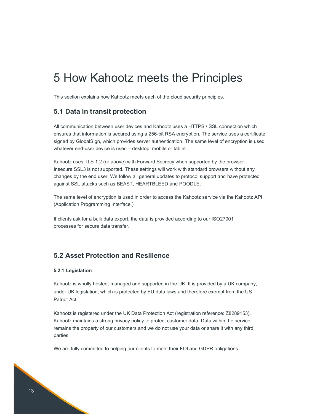# 5 How Kahootz meets the Principles

This section explains how Kahootz meets each of the cloud security principles.

## 5.1 Data in transit protection

All communication between user devices and Kahootz uses a HTTPS / SSL connection which ensures that information is secured using a 256-bit RSA encryption. The service uses a certificate signed by GlobalSign, which provides server authentication. The same level of encryption is used whatever end-user device is used – desktop, mobile or tablet.

Kahootz uses TLS 1.2 (or above) with Forward Secrecy when supported by the browser. Insecure SSL3 is not supported. These settings will work with standard browsers without any changes by the end user. We follow all general updates to protocol support and have protected against SSL attacks such as BEAST, HEARTBLEED and POODLE.

The same level of encryption is used in order to access the Kahootz service via the Kahootz API, (Application Programming Interface.)

If clients ask for a bulk data export, the data is provided according to our ISO27001 processes for secure data transfer.

# 5.2 Asset Protection and Resilience

#### 5.2.1 Legislation

Kahootz is wholly hosted, managed and supported in the UK. It is provided by a UK company, under UK legislation, which is protected by EU data laws and therefore exempt from the US Patriot Act.

Kahootz is registered under the UK Data Protection Act (registration reference: Z8289153). Kahootz maintains a strong privacy policy to protect customer data. Data within the service remains the property of our customers and we do not use your data or share it with any third parties.

We are fully committed to helping our clients to meet their FOI and GDPR obligations.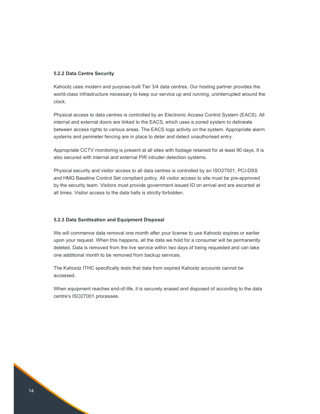#### 5.2.2 Data Centre Security

Kahootz uses modern and purpose-built Tier 3/4 data centres. Our hosting partner provides the world-class infrastructure necessary to keep our service up and running, uninterrupted around the clock.

Physical access to data centres is controlled by an Electronic Access Control System (EACS). All internal and external doors are linked to the EACS, which uses a zoned system to delineate between access rights to various areas. The EACS logs activity on the system. Appropriate alarm systems and perimeter fencing are in place to deter and detect unauthorised entry.

Appropriate CCTV monitoring is present at all sites with footage retained for at least 90 days. It is also secured with internal and external PIR intruder detection systems.

Physical security and visitor access to all data centres is controlled by an ISO27001, PCI-DSS and HMG Baseline Control Set compliant policy. All visitor access to site must be pre-approved by the security team. Visitors must provide government issued ID on arrival and are escorted at all times. Visitor access to the data halls is strictly forbidden.

#### 5.2.3 Data Sanitisation and Equipment Disposal

We will commence data removal one month after your license to use Kahootz expires or earlier upon your request. When this happens, all the data we hold for a consumer will be permanently deleted. Data is removed from the live service within two days of being requested and can take one additional month to be removed from backup services.

The Kahootz ITHC specifically tests that data from expired Kahootz accounts cannot be accessed.

When equipment reaches end-of-life, it is securely erased and disposed of according to the data centre's ISO27001 processes.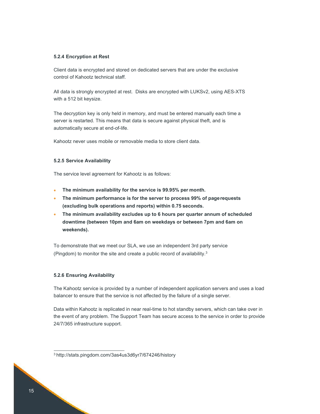#### 5.2.4 Encryption at Rest

Client data is encrypted and stored on dedicated servers that are under the exclusive control of Kahootz technical staff.

All data is strongly encrypted at rest. Disks are encrypted with LUKSv2, using AES-XTS with a 512 bit keysize.

The decryption key is only held in memory, and must be entered manually each time a server is restarted. This means that data is secure against physical theft, and is automatically secure at end-of-life.

Kahootz never uses mobile or removable media to store client data.

#### 5.2.5 Service Availability

The service level agreement for Kahootz is as follows:

- The minimum availability for the service is 99.95% per month.
- The minimum performance is for the server to process 99% of page requests (excluding bulk operations and reports) within 0.75 seconds.
- The minimum availability excludes up to 6 hours per quarter annum of scheduled downtime (between 10pm and 6am on weekdays or between 7pm and 6am on weekends).

To demonstrate that we meet our SLA, we use an independent 3rd party service (Pingdom) to monitor the site and create a public record of availability.<sup>3</sup>

#### 5.2.6 Ensuring Availability

The Kahootz service is provided by a number of independent application servers and uses a load balancer to ensure that the service is not affected by the failure of a single server.

Data within Kahootz is replicated in near real-time to hot standby servers, which can take over in the event of any problem. The Support Team has secure access to the service in order to provide 24/7/365 infrastructure support.

<sup>3</sup> http://stats.pingdom.com/3as4us3d6yr7/674246/history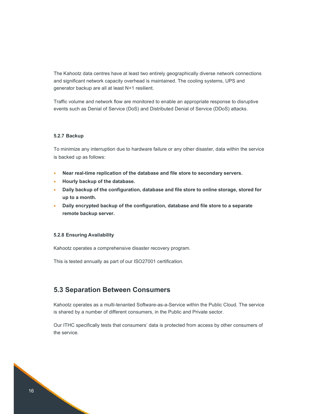The Kahootz data centres have at least two entirely geographically diverse network connections and significant network capacity overhead is maintained. The cooling systems, UPS and generator backup are all at least N+1 resilient.

Traffic volume and network flow are monitored to enable an appropriate response to disruptive events such as Denial of Service (DoS) and Distributed Denial of Service (DDoS) attacks.

#### 5.2.7 Backup

To minimize any interruption due to hardware failure or any other disaster, data within the service is backed up as follows:

- Near real-time replication of the database and file store to secondary servers.
- Hourly backup of the database.
- Daily backup of the configuration, database and file store to online storage, stored for up to a month.
- Daily encrypted backup of the configuration, database and file store to a separate remote backup server.

#### 5.2.8 Ensuring Availability

Kahootz operates a comprehensive disaster recovery program.

This is tested annually as part of our ISO27001 certification.

### 5.3 Separation Between Consumers

Kahootz operates as a multi-tenanted Software-as-a-Service within the Public Cloud. The service is shared by a number of different consumers, in the Public and Private sector.

Our ITHC specifically tests that consumers' data is protected from access by other consumers of the service.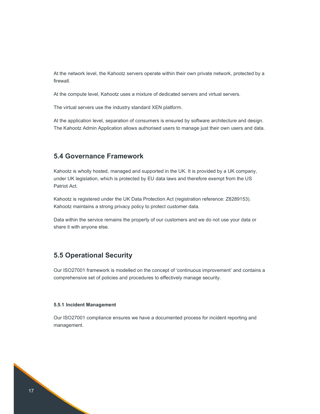At the network level, the Kahootz servers operate within their own private network, protected by a firewall.

At the compute level, Kahootz uses a mixture of dedicated servers and virtual servers.

The virtual servers use the industry standard XEN platform.

At the application level, separation of consumers is ensured by software architecture and design. The Kahootz Admin Application allows authorised users to manage just their own users and data.

# 5.4 Governance Framework

Kahootz is wholly hosted, managed and supported in the UK. It is provided by a UK company, under UK legislation, which is protected by EU data laws and therefore exempt from the US Patriot Act.

Kahootz is registered under the UK Data Protection Act (registration reference: Z8289153). Kahootz maintains a strong privacy policy to protect customer data.

Data within the service remains the property of our customers and we do not use your data or share it with anyone else.

# 5.5 Operational Security

Our ISO27001 framework is modelled on the concept of 'continuous improvement' and contains a comprehensive set of policies and procedures to effectively manage security.

#### 5.5.1 Incident Management

Our ISO27001 compliance ensures we have a documented process for incident reporting and management.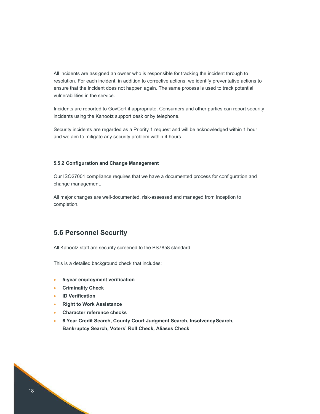All incidents are assigned an owner who is responsible for tracking the incident through to resolution. For each incident, in addition to corrective actions, we identify preventative actions to ensure that the incident does not happen again. The same process is used to track potential vulnerabilities in the service.

Incidents are reported to GovCert if appropriate. Consumers and other parties can report security incidents using the Kahootz support desk or by telephone.

Security incidents are regarded as a Priority 1 request and will be acknowledged within 1 hour and we aim to mitigate any security problem within 4 hours.

#### 5.5.2 Configuration and Change Management

Our ISO27001 compliance requires that we have a documented process for configuration and change management.

All major changes are well-documented, risk-assessed and managed from inception to completion.

# 5.6 Personnel Security

All Kahootz staff are security screened to the BS7858 standard.

This is a detailed background check that includes:

- 5-year employment verification
- Criminality Check
- ID Verification
- Right to Work Assistance
- Character reference checks
- 6 Year Credit Search, County Court Judgment Search, Insolvency Search, Bankruptcy Search, Voters' Roll Check, Aliases Check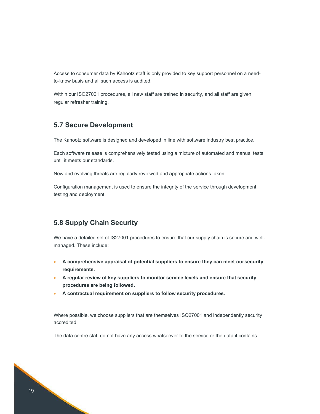Access to consumer data by Kahootz staff is only provided to key support personnel on a needto-know basis and all such access is audited.

Within our ISO27001 procedures, all new staff are trained in security, and all staff are given regular refresher training.

# 5.7 Secure Development

The Kahootz software is designed and developed in line with software industry best practice.

Each software release is comprehensively tested using a mixture of automated and manual tests until it meets our standards.

New and evolving threats are regularly reviewed and appropriate actions taken.

Configuration management is used to ensure the integrity of the service through development, testing and deployment.

# 5.8 Supply Chain Security

We have a detailed set of IS27001 procedures to ensure that our supply chain is secure and wellmanaged. These include:

- A comprehensive appraisal of potential suppliers to ensure they can meet our security requirements.
- A regular review of key suppliers to monitor service levels and ensure that security procedures are being followed.
- A contractual requirement on suppliers to follow security procedures.

Where possible, we choose suppliers that are themselves ISO27001 and independently security accredited.

The data centre staff do not have any access whatsoever to the service or the data it contains.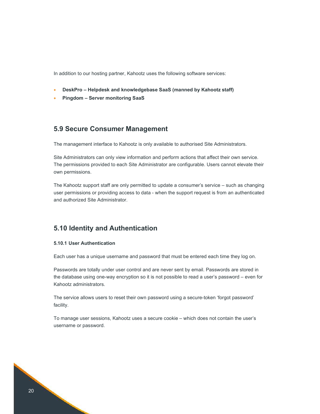In addition to our hosting partner, Kahootz uses the following software services:

- DeskPro Helpdesk and knowledgebase SaaS (manned by Kahootz staff)
- Pingdom Server monitoring SaaS

## 5.9 Secure Consumer Management

The management interface to Kahootz is only available to authorised Site Administrators.

Site Administrators can only view information and perform actions that affect their own service. The permissions provided to each Site Administrator are configurable. Users cannot elevate their own permissions.

The Kahootz support staff are only permitted to update a consumer's service – such as changing user permissions or providing access to data - when the support request is from an authenticated and authorized Site Administrator.

## 5.10 Identity and Authentication

#### 5.10.1 User Authentication

Each user has a unique username and password that must be entered each time they log on.

Passwords are totally under user control and are never sent by email. Passwords are stored in the database using one-way encryption so it is not possible to read a user's password – even for Kahootz administrators.

The service allows users to reset their own password using a secure-token 'forgot password' facility.

To manage user sessions, Kahootz uses a secure cookie – which does not contain the user's username or password.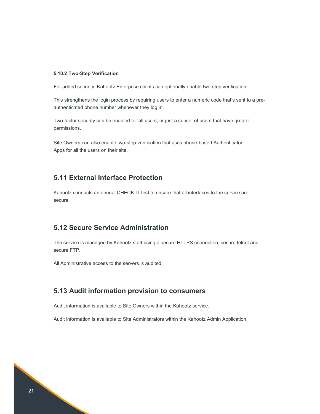#### 5.10.2 Two-Step Verification

For added security, Kahootz Enterprise clients can optionally enable two-step verification.

This strengthens the login process by requiring users to enter a numeric code that's sent to a preauthenticated phone number whenever they log in.

Two-factor security can be enabled for all users, or just a subset of users that have greater permissions.

Site Owners can also enable two-step verification that uses phone-based Authenticator Apps for all the users on their site.

# 5.11 External Interface Protection

Kahootz conducts an annual CHECK IT test to ensure that all interfaces to the service are secure.

# 5.12 Secure Service Administration

The service is managed by Kahootz staff using a secure HTTPS connection, secure telnet and secure FTP.

All Administrative access to the servers is audited.

# 5.13 Audit information provision to consumers

Audit information is available to Site Owners within the Kahootz service.

Audit information is available to Site Administrators within the Kahootz Admin Application.